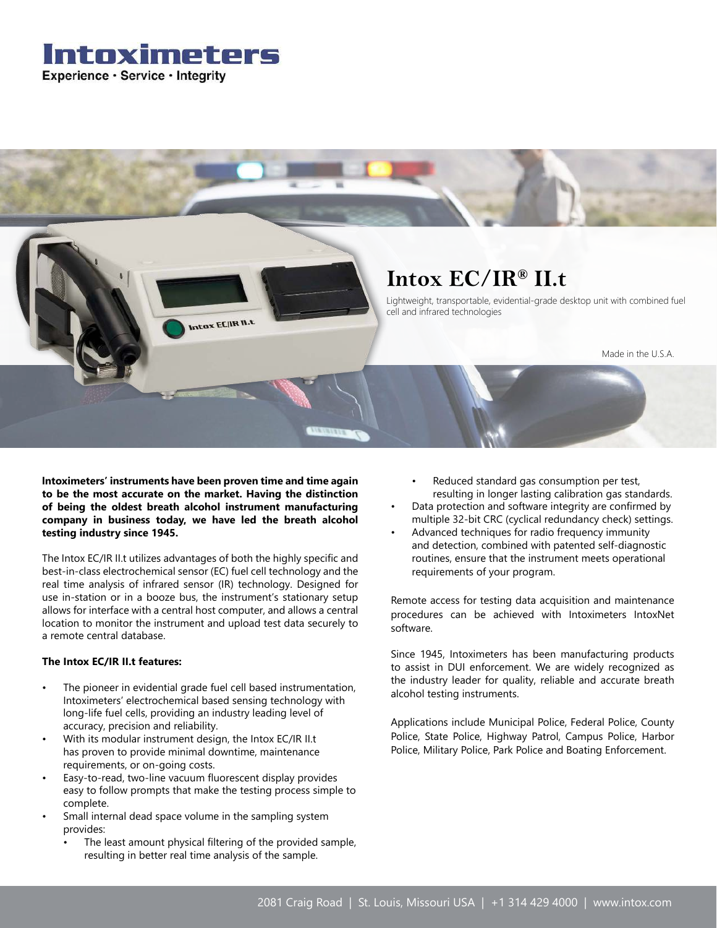### Intoximeters Experience · Service · Integrity



**Intoximeters' instruments have been proven time and time again to be the most accurate on the market. Having the distinction of being the oldest breath alcohol instrument manufacturing company in business today, we have led the breath alcohol testing industry since 1945.**

The Intox EC/IR II.t utilizes advantages of both the highly specific and best-in-class electrochemical sensor (EC) fuel cell technology and the real time analysis of infrared sensor (IR) technology. Designed for use in-station or in a booze bus, the instrument's stationary setup allows for interface with a central host computer, and allows a central location to monitor the instrument and upload test data securely to a remote central database.

#### **The Intox EC/IR II.t features:**

- The pioneer in evidential grade fuel cell based instrumentation, Intoximeters' electrochemical based sensing technology with long-life fuel cells, providing an industry leading level of accuracy, precision and reliability.
- With its modular instrument design, the Intox EC/IR II.t has proven to provide minimal downtime, maintenance requirements, or on-going costs.
- Easy-to-read, two-line vacuum fluorescent display provides easy to follow prompts that make the testing process simple to complete.
- Small internal dead space volume in the sampling system provides:
	- The least amount physical filtering of the provided sample, resulting in better real time analysis of the sample.
- Reduced standard gas consumption per test, resulting in longer lasting calibration gas standards.
- Data protection and software integrity are confirmed by multiple 32-bit CRC (cyclical redundancy check) settings.
- Advanced techniques for radio frequency immunity and detection, combined with patented self-diagnostic routines, ensure that the instrument meets operational requirements of your program.

Remote access for testing data acquisition and maintenance procedures can be achieved with Intoximeters IntoxNet software.

Since 1945, Intoximeters has been manufacturing products to assist in DUI enforcement. We are widely recognized as the industry leader for quality, reliable and accurate breath alcohol testing instruments.

Applications include Municipal Police, Federal Police, County Police, State Police, Highway Patrol, Campus Police, Harbor Police, Military Police, Park Police and Boating Enforcement.